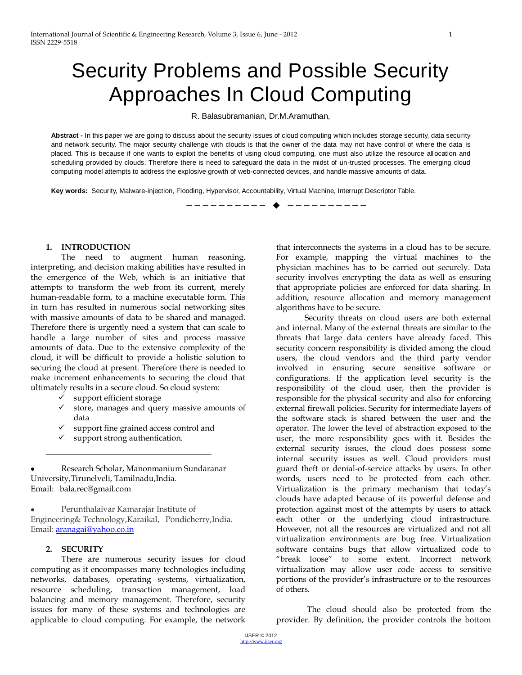# Security Problems and Possible Security Approaches In Cloud Computing

R. Balasubramanian, Dr.M.Aramuthan,

Abstract - In this paper we are going to discuss about the security issues of cloud computing which includes storage security, data security and network security. The major security challenge with clouds is that the owner of the data may not have control of where the data is placed. This is because if one wants to exploit the benefits of using cloud computing, one must also utilize the resource allocation and scheduling provided by clouds. Therefore there is need to safeguard the data in the midst of un-trusted processes. The emerging cloud computing model attempts to address the explosive growth of web-connected devices, and handle massive amounts of data.

**Key words:** Security, Malware-injection, Flooding, Hypervisor, Accountability, Virtual Machine, Interrupt Descriptor Table.

—————————— ——————————

#### **1. INTRODUCTION**

The need to augment human reasoning, interpreting, and decision making abilities have resulted in the emergence of the Web, which is an initiative that attempts to transform the web from its current, merely human-readable form, to a machine executable form. This in turn has resulted in numerous social networking sites with massive amounts of data to be shared and managed. Therefore there is urgently need a system that can scale to handle a large number of sites and process massive amounts of data. Due to the extensive complexity of the cloud, it will be difficult to provide a holistic solution to securing the cloud at present. Therefore there is needed to make increment enhancements to securing the cloud that ultimately results in a secure cloud. So cloud system:

- support efficient storage
- $\checkmark$  store, manages and query massive amounts of data
- support fine grained access control and
- support strong authentication.

Research Scholar, Manonmanium Sundaranar University,Tirunelveli, Tamilnadu,India. Email: bala.rec@gmail.com

 $\bullet$ Perunthalaivar Kamarajar Institute of Engineering& Technology,Karaikal, Pondicherry,India. Email[: aranagai@yahoo.co.in](mailto:aranagai@yahoo.co.in)

## **2. SECURITY**

There are numerous security issues for cloud computing as it encompasses many technologies including networks, databases, operating systems, virtualization, resource scheduling, transaction management, load balancing and memory management. Therefore, security issues for many of these systems and technologies are applicable to cloud computing. For example, the network that interconnects the systems in a cloud has to be secure. For example, mapping the virtual machines to the physician machines has to be carried out securely. Data security involves encrypting the data as well as ensuring that appropriate policies are enforced for data sharing. In addition, resource allocation and memory management algorithms have to be secure.

 Security threats on cloud users are both external and internal. Many of the external threats are similar to the threats that large data centers have already faced. This security concern responsibility is divided among the cloud users, the cloud vendors and the third party vendor involved in ensuring secure sensitive software or configurations. If the application level security is the responsibility of the cloud user, then the provider is responsible for the physical security and also for enforcing external firewall policies. Security for intermediate layers of the software stack is shared between the user and the operator. The lower the level of abstraction exposed to the user, the more responsibility goes with it. Besides the external security issues, the cloud does possess some internal security issues as well. Cloud providers must guard theft or denial-of-service attacks by users. In other words, users need to be protected from each other. Virtualization is the primary mechanism that today's clouds have adapted because of its powerful defense and protection against most of the attempts by users to attack each other or the underlying cloud infrastructure. However, not all the resources are virtualized and not all virtualization environments are bug free. Virtualization software contains bugs that allow virtualized code to "break loose" to some extent. Incorrect network virtualization may allow user code access to sensitive portions of the provider's infrastructure or to the resources of others.

The cloud should also be protected from the provider. By definition, the provider controls the bottom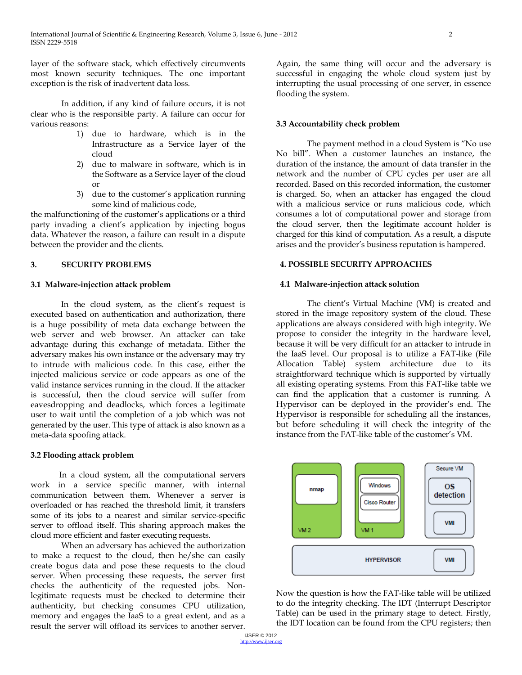layer of the software stack, which effectively circumvents most known security techniques. The one important exception is the risk of inadvertent data loss.

In addition, if any kind of failure occurs, it is not clear who is the responsible party. A failure can occur for various reasons:

- 1) due to hardware, which is in the Infrastructure as a Service layer of the cloud
- 2) due to malware in software, which is in the Software as a Service layer of the cloud or
- 3) due to the customer's application running some kind of malicious code,

the malfunctioning of the customer's applications or a third party invading a client's application by injecting bogus data. Whatever the reason, a failure can result in a dispute between the provider and the clients.

## **3. SECURITY PROBLEMS**

## **3.1 Malware-injection attack problem**

 In the cloud system, as the client's request is executed based on authentication and authorization, there is a huge possibility of meta data exchange between the web server and web browser. An attacker can take advantage during this exchange of metadata. Either the adversary makes his own instance or the adversary may try to intrude with malicious code. In this case, either the injected malicious service or code appears as one of the valid instance services running in the cloud. If the attacker is successful, then the cloud service will suffer from eavesdropping and deadlocks, which forces a legitimate user to wait until the completion of a job which was not generated by the user. This type of attack is also known as a meta-data spoofing attack.

### **3.2 Flooding attack problem**

 In a cloud system, all the computational servers work in a service specific manner, with internal communication between them. Whenever a server is overloaded or has reached the threshold limit, it transfers some of its jobs to a nearest and similar service-specific server to offload itself. This sharing approach makes the cloud more efficient and faster executing requests.

When an adversary has achieved the authorization to make a request to the cloud, then he/she can easily create bogus data and pose these requests to the cloud server. When processing these requests, the server first checks the authenticity of the requested jobs. Nonlegitimate requests must be checked to determine their authenticity, but checking consumes CPU utilization, memory and engages the IaaS to a great extent, and as a result the server will offload its services to another server.

Again, the same thing will occur and the adversary is successful in engaging the whole cloud system just by interrupting the usual processing of one server, in essence flooding the system.

## **3.3 Accountability check problem**

The payment method in a cloud System is "No use" No bill". When a customer launches an instance, the duration of the instance, the amount of data transfer in the network and the number of CPU cycles per user are all recorded. Based on this recorded information, the customer is charged. So, when an attacker has engaged the cloud with a malicious service or runs malicious code, which consumes a lot of computational power and storage from the cloud server, then the legitimate account holder is charged for this kind of computation. As a result, a dispute arises and the provider's business reputation is hampered.

## **4. POSSIBLE SECURITY APPROACHES**

### **4.1 Malware-injection attack solution**

The client's Virtual Machine (VM) is created and stored in the image repository system of the cloud. These applications are always considered with high integrity. We propose to consider the integrity in the hardware level, because it will be very difficult for an attacker to intrude in the IaaS level. Our proposal is to utilize a FAT-like (File Allocation Table) system architecture due to its straightforward technique which is supported by virtually all existing operating systems. From this FAT-like table we can find the application that a customer is running. A Hypervisor can be deployed in the provider's end. The Hypervisor is responsible for scheduling all the instances, but before scheduling it will check the integrity of the instance from the FAT-like table of the customer's VM.



Now the question is how the FAT-like table will be utilized to do the integrity checking. The IDT (Interrupt Descriptor Table) can be used in the primary stage to detect. Firstly, the IDT location can be found from the CPU registers; then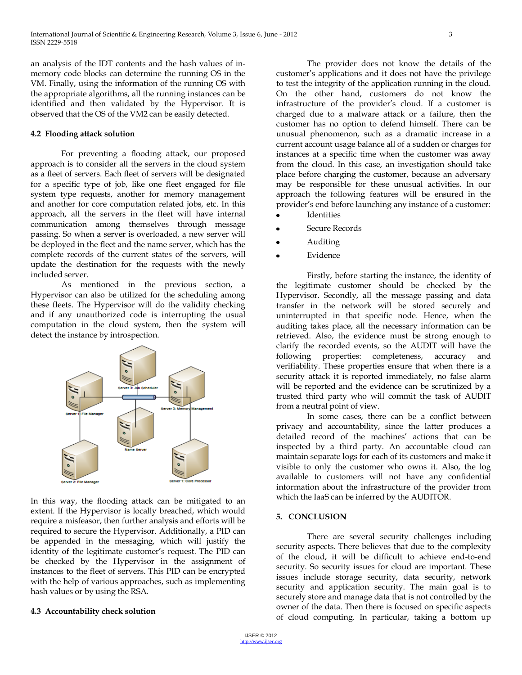an analysis of the IDT contents and the hash values of inmemory code blocks can determine the running OS in the VM. Finally, using the information of the running OS with the appropriate algorithms, all the running instances can be identified and then validated by the Hypervisor. It is observed that the OS of the VM2 can be easily detected.

### **4.2 Flooding attack solution**

For preventing a flooding attack, our proposed approach is to consider all the servers in the cloud system as a fleet of servers. Each fleet of servers will be designated for a specific type of job, like one fleet engaged for file system type requests, another for memory management and another for core computation related jobs, etc. In this approach, all the servers in the fleet will have internal communication among themselves through message passing. So when a server is overloaded, a new server will be deployed in the fleet and the name server, which has the complete records of the current states of the servers, will update the destination for the requests with the newly included server.

As mentioned in the previous section, a Hypervisor can also be utilized for the scheduling among these fleets. The Hypervisor will do the validity checking and if any unauthorized code is interrupting the usual computation in the cloud system, then the system will detect the instance by introspection.



In this way, the flooding attack can be mitigated to an extent. If the Hypervisor is locally breached, which would require a misfeasor, then further analysis and efforts will be required to secure the Hypervisor. Additionally, a PID can be appended in the messaging, which will justify the identity of the legitimate customer's request. The PID can be checked by the Hypervisor in the assignment of instances to the fleet of servers. This PID can be encrypted with the help of various approaches, such as implementing hash values or by using the RSA.

### **4.3 Accountability check solution**

The provider does not know the details of the customer's applications and it does not have the privilege to test the integrity of the application running in the cloud. On the other hand, customers do not know the infrastructure of the provider's cloud. If a customer is charged due to a malware attack or a failure, then the customer has no option to defend himself. There can be unusual phenomenon, such as a dramatic increase in a current account usage balance all of a sudden or charges for instances at a specific time when the customer was away from the cloud. In this case, an investigation should take place before charging the customer, because an adversary may be responsible for these unusual activities. In our approach the following features will be ensured in the provider's end before launching any instance of a customer:

- Identities
- Secure Records
- Auditing
- Evidence

Firstly, before starting the instance, the identity of the legitimate customer should be checked by the Hypervisor. Secondly, all the message passing and data transfer in the network will be stored securely and uninterrupted in that specific node. Hence, when the auditing takes place, all the necessary information can be retrieved. Also, the evidence must be strong enough to clarify the recorded events, so the AUDIT will have the following properties: completeness, accuracy and verifiability. These properties ensure that when there is a security attack it is reported immediately, no false alarm will be reported and the evidence can be scrutinized by a trusted third party who will commit the task of AUDIT from a neutral point of view.

In some cases, there can be a conflict between privacy and accountability, since the latter produces a detailed record of the machines' actions that can be inspected by a third party. An accountable cloud can maintain separate logs for each of its customers and make it visible to only the customer who owns it. Also, the log available to customers will not have any confidential information about the infrastructure of the provider from which the IaaS can be inferred by the AUDITOR.

### **5. CONCLUSION**

There are several security challenges including security aspects. There believes that due to the complexity of the cloud, it will be difficult to achieve end-to-end security. So security issues for cloud are important. These issues include storage security, data security, network security and application security. The main goal is to securely store and manage data that is not controlled by the owner of the data. Then there is focused on specific aspects of cloud computing. In particular, taking a bottom up